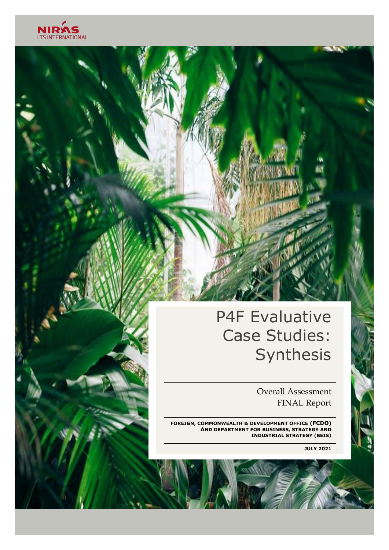

## P4F Evaluative Case Studies: Synthesis

 Overall Assessment FINAL Report

**FOREIGN, COMMONWEALTH & DEVELOPMENT OFFICE (FCDO) AND DEPARTMENT FOR BUSINESS, STRATEGY AND INDUSTRIAL STRATEGY (BEIS)** 

**JULY 2021**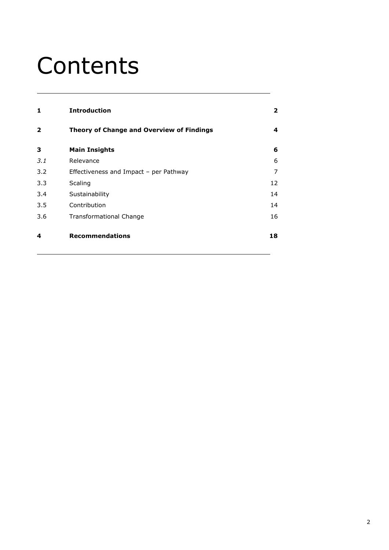# Contents

| 1                       | <b>Introduction</b>                       | $\mathbf{2}$ |
|-------------------------|-------------------------------------------|--------------|
| $\overline{\mathbf{2}}$ | Theory of Change and Overview of Findings | 4            |
| 3                       | <b>Main Insights</b>                      | 6            |
| 3.1                     | Relevance                                 | 6            |
| 3.2                     | Effectiveness and Impact - per Pathway    | 7            |
| 3.3                     | Scaling                                   | 12           |
| 3.4                     | Sustainability                            | 14           |
| 3.5                     | Contribution                              | 14           |
| 3.6                     | Transformational Change                   | 16           |
| 4                       | <b>Recommendations</b>                    | 18           |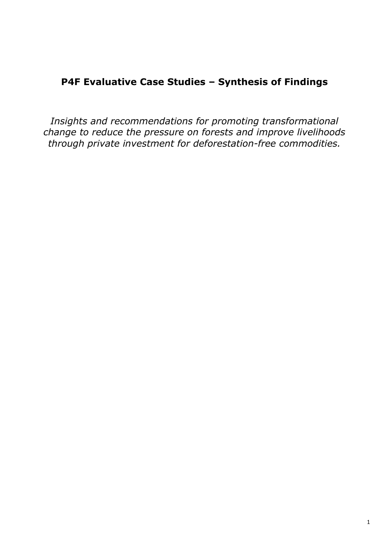## **P4F Evaluative Case Studies – Synthesis of Findings**

*Insights and recommendations for promoting transformational change to reduce the pressure on forests and improve livelihoods through private investment for deforestation-free commodities.*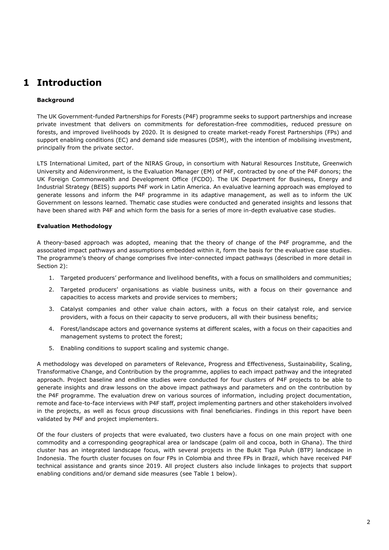## <span id="page-3-0"></span>**1 Introduction**

#### **Background**

The UK Government-funded Partnerships for Forests (P4F) programme seeks to support partnerships and increase private investment that delivers on commitments for deforestation-free commodities, reduced pressure on forests, and improved livelihoods by 2020. It is designed to create market-ready Forest Partnerships (FPs) and support enabling conditions (EC) and demand side measures (DSM), with the intention of mobilising investment, principally from the private sector.

LTS International Limited, part of the NIRAS Group, in consortium with Natural Resources Institute, Greenwich University and Aidenvironment, is the Evaluation Manager (EM) of P4F, contracted by one of the P4F donors; the UK Foreign Commonwealth and Development Office (FCDO). The UK Department for Business, Energy and Industrial Strategy (BEIS) supports P4F work in Latin America. An evaluative learning approach was employed to generate lessons and inform the P4F programme in its adaptive management, as well as to inform the UK Government on lessons learned. Thematic case studies were conducted and generated insights and lessons that have been shared with P4F and which form the basis for a series of more in-depth evaluative case studies.

#### **Evaluation Methodology**

A theory-based approach was adopted, meaning that the theory of change of the P4F programme, and the associated impact pathways and assumptions embedded within it, form the basis for the evaluative case studies. The programme's theory of change comprises five inter-connected impact pathways (described in more detail in Section 2):

- 1. Targeted producers' performance and livelihood benefits, with a focus on smallholders and communities;
- 2. Targeted producers' organisations as viable business units, with a focus on their governance and capacities to access markets and provide services to members;
- 3. Catalyst companies and other value chain actors, with a focus on their catalyst role, and service providers, with a focus on their capacity to serve producers, all with their business benefits;
- 4. Forest/landscape actors and governance systems at different scales, with a focus on their capacities and management systems to protect the forest;
- 5. Enabling conditions to support scaling and systemic change.

A methodology was developed on parameters of Relevance, Progress and Effectiveness, Sustainability, Scaling, Transformative Change, and Contribution by the programme, applies to each impact pathway and the integrated approach. Project baseline and endline studies were conducted for four clusters of P4F projects to be able to generate insights and draw lessons on the above impact pathways and parameters and on the contribution by the P4F programme. The evaluation drew on various sources of information, including project documentation, remote and face-to-face interviews with P4F staff, project implementing partners and other stakeholders involved in the projects, as well as focus group discussions with final beneficiaries. Findings in this report have been validated by P4F and project implementers.

Of the four clusters of projects that were evaluated, two clusters have a focus on one main project with one commodity and a corresponding geographical area or landscape (palm oil and cocoa, both in Ghana). The third cluster has an integrated landscape focus, with several projects in the Bukit Tiga Puluh (BTP) landscape in Indonesia. The fourth cluster focuses on four FPs in Colombia and three FPs in Brazil, which have received P4F technical assistance and grants since 2019. All project clusters also include linkages to projects that support enabling conditions and/or demand side measures (see Table 1 below).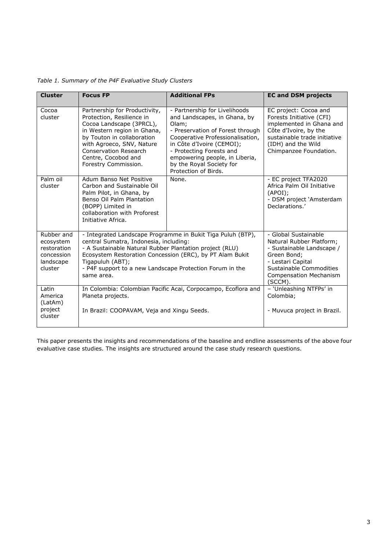| <b>Cluster</b>                                                               | <b>Focus FP</b>                                                                                                                                                                                                                                                                                                            | <b>Additional FPs</b>                                                                                                                                                                                                                                                                         | <b>EC and DSM projects</b>                                                                                                                                                               |
|------------------------------------------------------------------------------|----------------------------------------------------------------------------------------------------------------------------------------------------------------------------------------------------------------------------------------------------------------------------------------------------------------------------|-----------------------------------------------------------------------------------------------------------------------------------------------------------------------------------------------------------------------------------------------------------------------------------------------|------------------------------------------------------------------------------------------------------------------------------------------------------------------------------------------|
| Cocoa<br>cluster                                                             | Partnership for Productivity,<br>Protection, Resilience in<br>Cocoa Landscape (3PRCL),<br>in Western region in Ghana,<br>by Touton in collaboration<br>with Agroeco, SNV, Nature<br>Conservation Research<br>Centre, Cocobod and<br>Forestry Commission.                                                                   | - Partnership for Livelihoods<br>and Landscapes, in Ghana, by<br>Olam;<br>- Preservation of Forest through<br>Cooperative Professionalisation,<br>in Côte d'Ivoire (CEMOI);<br>- Protecting Forests and<br>empowering people, in Liberia,<br>by the Royal Society for<br>Protection of Birds. | EC project: Cocoa and<br>Forests Initiative (CFI)<br>implemented in Ghana and<br>Côte d'Ivoire, by the<br>sustainable trade initiative<br>(IDH) and the Wild<br>Chimpanzee Foundation.   |
| Palm oil<br>cluster                                                          | Adum Banso Net Positive<br>Carbon and Sustainable Oil<br>Palm Pilot, in Ghana, by<br>Benso Oil Palm Plantation<br>(BOPP) Limited in<br>collaboration with Proforest<br>Initiative Africa.                                                                                                                                  | None.                                                                                                                                                                                                                                                                                         | - EC project TFA2020<br>Africa Palm Oil Initiative<br>$(APOI)$ ;<br>- DSM project 'Amsterdam<br>Declarations.'                                                                           |
| Rubber and<br>ecosystem<br>restoration<br>concession<br>landscape<br>cluster | - Integrated Landscape Programme in Bukit Tiga Puluh (BTP),<br>central Sumatra, Indonesia, including:<br>- A Sustainable Natural Rubber Plantation project (RLU)<br>Ecosystem Restoration Concession (ERC), by PT Alam Bukit<br>Tigapuluh (ABT);<br>- P4F support to a new Landscape Protection Forum in the<br>same area. |                                                                                                                                                                                                                                                                                               | - Global Sustainable<br>Natural Rubber Platform;<br>- Sustainable Landscape /<br>Green Bond;<br>- Lestari Capital<br>Sustainable Commodities<br><b>Compensation Mechanism</b><br>(SCCM). |
| Latin<br>America<br>(LatAm)<br>project<br>cluster                            | Planeta projects.                                                                                                                                                                                                                                                                                                          | In Colombia: Colombian Pacific Acai, Corpocampo, Ecoflora and<br>In Brazil: COOPAVAM, Veja and Xingu Seeds.                                                                                                                                                                                   |                                                                                                                                                                                          |

*Table 1. Summary of the P4F Evaluative Study Clusters* 

This paper presents the insights and recommendations of the baseline and endline assessments of the above four evaluative case studies. The insights are structured around the case study research questions.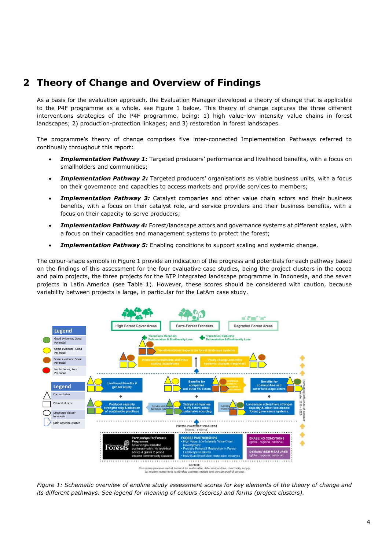## <span id="page-5-0"></span>**2 Theory of Change and Overview of Findings**

As a basis for the evaluation approach, the Evaluation Manager developed a theory of change that is applicable to the P4F programme as a whole, see Figure 1 below. This theory of change captures the three different interventions strategies of the P4F programme, being: 1) high value-low intensity value chains in forest landscapes; 2) production-protection linkages; and 3) restoration in forest landscapes.

The programme's theory of change comprises five inter-connected Implementation Pathways referred to continually throughout this report:

- **Implementation Pathway 1:** Targeted producers' performance and livelihood benefits, with a focus on smallholders and communities;
- *Implementation Pathway 2:* Targeted producers' organisations as viable business units, with a focus on their governance and capacities to access markets and provide services to members;
- **Implementation Pathway 3:** Catalyst companies and other value chain actors and their business benefits, with a focus on their catalyst role, and service providers and their business benefits, with a focus on their capacity to serve producers;
- **Implementation Pathway 4:** Forest/landscape actors and governance systems at different scales, with a focus on their capacities and management systems to protect the forest;
- **Implementation Pathway 5:** Enabling conditions to support scaling and systemic change.

The colour-shape symbols in Figure 1 provide an indication of the progress and potentials for each pathway based on the findings of this assessment for the four evaluative case studies, being the project clusters in the cocoa and palm projects, the three projects for the BTP integrated landscape programme in Indonesia, and the seven projects in Latin America (see Table 1). However, these scores should be considered with caution, because variability between projects is large, in particular for the LatAm case study.



*Figure 1: Schematic overview of endline study assessment scores for key elements of the theory of change and its different pathways. See legend for meaning of colours (scores) and forms (project clusters).*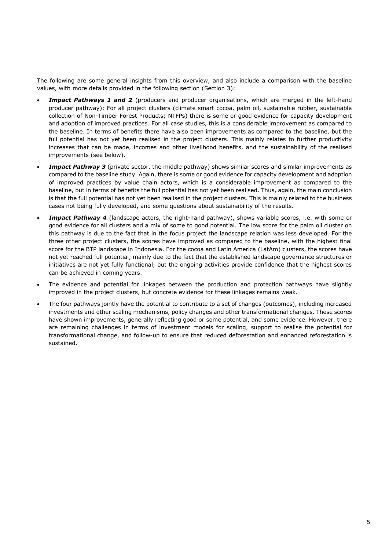The following are some general insights from this overview, and also include a comparison with the baseline values, with more details provided in the following section (Section 3):

- **Impact Pathways 1 and 2** (producers and producer organisations, which are merged in the left-hand producer pathway): For all project clusters (climate smart cocoa, palm oil, sustainable rubber, sustainable collection of Non-Timber Forest Products; NTFPs) there is some or good evidence for capacity development and adoption of improved practices. For all case studies, this is a considerable improvement as compared to the baseline. In terms of benefits there have also been improvements as compared to the baseline, but the full potential has not yet been realised in the project clusters. This mainly relates to further productivity increases that can be made, incomes and other livelihood benefits, and the sustainability of the realised improvements (see below).
- **Impact Pathway 3** (private sector, the middle pathway) shows similar scores and similar improvements as compared to the baseline study. Again, there is some or good evidence for capacity development and adoption of improved practices by value chain actors, which is a considerable improvement as compared to the baseline, but in terms of benefits the full potential has not yet been realised. Thus, again, the main conclusion is that the full potential has not yet been realised in the project clusters. This is mainly related to the business cases not being fully developed, and some questions about sustainability of the results.
- **Impact Pathway 4** (landscape actors, the right-hand pathway), shows variable scores, i.e. with some or good evidence for all clusters and a mix of some to good potential. The low score for the palm oil cluster on this pathway is due to the fact that in the focus project the landscape relation was less developed. For the three other project clusters, the scores have improved as compared to the baseline, with the highest final score for the BTP landscape in Indonesia. For the cocoa and Latin America (LatAm) clusters, the scores have not yet reached full potential, mainly due to the fact that the established landscape governance structures or initiatives are not yet fully functional, but the ongoing activities provide confidence that the highest scores can be achieved in coming years.
- The evidence and potential for linkages between the production and protection pathways have slightly improved in the project clusters, but concrete evidence for these linkages remains weak.
- The four pathways jointly have the potential to contribute to a set of changes (outcomes), including increased investments and other scaling mechanisms, policy changes and other transformational changes. These scores have shown improvements, generally reflecting good or some potential, and some evidence. However, there are remaining challenges in terms of investment models for scaling, support to realise the potential for transformational change, and follow-up to ensure that reduced deforestation and enhanced reforestation is sustained.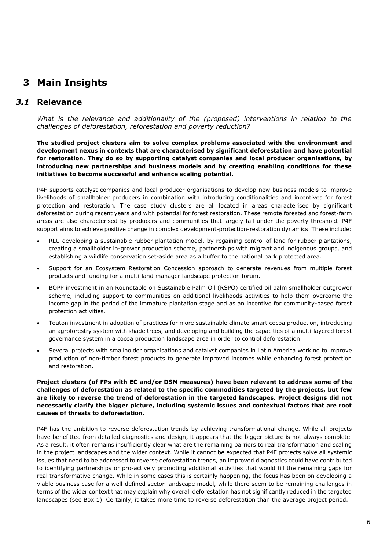## <span id="page-7-0"></span>**3 Main Insights**

### *3.1* **Relevance**

<span id="page-7-1"></span>*What is the relevance and additionality of the (proposed) interventions in relation to the challenges of deforestation, reforestation and poverty reduction?* 

**The studied project clusters aim to solve complex problems associated with the environment and development nexus in contexts that are characterised by significant deforestation and have potential for restoration. They do so by supporting catalyst companies and local producer organisations, by introducing new partnerships and business models and by creating enabling conditions for these initiatives to become successful and enhance scaling potential.** 

P4F supports catalyst companies and local producer organisations to develop new business models to improve livelihoods of smallholder producers in combination with introducing conditionalities and incentives for forest protection and restoration. The case study clusters are all located in areas characterised by significant deforestation during recent years and with potential for forest restoration. These remote forested and forest-farm areas are also characterised by producers and communities that largely fall under the poverty threshold. P4F support aims to achieve positive change in complex development-protection-restoration dynamics. These include:

- RLU developing a sustainable rubber plantation model, by regaining control of land for rubber plantations, creating a smallholder in-grower production scheme, partnerships with migrant and indigenous groups, and establishing a wildlife conservation set-aside area as a buffer to the national park protected area.
- Support for an Ecosystem Restoration Concession approach to generate revenues from multiple forest products and funding for a multi-land manager landscape protection forum.
- BOPP investment in an Roundtable on Sustainable Palm Oil (RSPO) certified oil palm smallholder outgrower scheme, including support to communities on additional livelihoods activities to help them overcome the income gap in the period of the immature plantation stage and as an incentive for community-based forest protection activities.
- Touton investment in adoption of practices for more sustainable climate smart cocoa production, introducing an agroforestry system with shade trees, and developing and building the capacities of a multi-layered forest governance system in a cocoa production landscape area in order to control deforestation.
- Several projects with smallholder organisations and catalyst companies in Latin America working to improve production of non-timber forest products to generate improved incomes while enhancing forest protection and restoration.

#### **Project clusters (of FPs with EC and/or DSM measures) have been relevant to address some of the challenges of deforestation as related to the specific commodities targeted by the projects, but few are likely to reverse the trend of deforestation in the targeted landscapes. Project designs did not necessarily clarify the bigger picture, including systemic issues and contextual factors that are root causes of threats to deforestation.**

P4F has the ambition to reverse deforestation trends by achieving transformational change. While all projects have benefitted from detailed diagnostics and design, it appears that the bigger picture is not always complete. As a result, it often remains insufficiently clear what are the remaining barriers to real transformation and scaling in the project landscapes and the wider context. While it cannot be expected that P4F projects solve all systemic issues that need to be addressed to reverse deforestation trends, an improved diagnostics could have contributed to identifying partnerships or pro-actively promoting additional activities that would fill the remaining gaps for real transformative change. While in some cases this is certainly happening, the focus has been on developing a viable business case for a well-defined sector-landscape model, while there seem to be remaining challenges in terms of the wider context that may explain why overall deforestation has not significantly reduced in the targeted landscapes (see Box 1). Certainly, it takes more time to reverse deforestation than the average project period.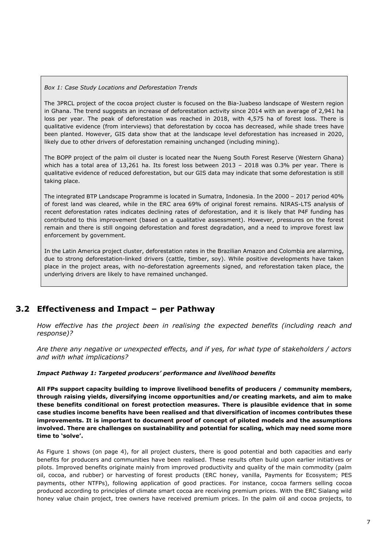#### *Box 1: Case Study Locations and Deforestation Trends*

The 3PRCL project of the cocoa project cluster is focused on the Bia-Juabeso landscape of Western region in Ghana. The trend suggests an increase of deforestation activity since 2014 with an average of 2,941 ha loss per year. The peak of deforestation was reached in 2018, with 4,575 ha of forest loss. There is qualitative evidence (from interviews) that deforestation by cocoa has decreased, while shade trees have been planted. However, GIS data show that at the landscape level deforestation has increased in 2020, likely due to other drivers of deforestation remaining unchanged (including mining).

The BOPP project of the palm oil cluster is located near the Nueng South Forest Reserve (Western Ghana) which has a total area of 13,261 ha. Its forest loss between 2013 – 2018 was 0.3% per year. There is qualitative evidence of reduced deforestation, but our GIS data may indicate that some deforestation is still taking place.

The integrated BTP Landscape Programme is located in Sumatra, Indonesia. In the 2000 – 2017 period 40% of forest land was cleared, while in the ERC area 69% of original forest remains. NIRAS-LTS analysis of recent deforestation rates indicates declining rates of deforestation, and it is likely that P4F funding has contributed to this improvement (based on a qualitative assessment). However, pressures on the forest remain and there is still ongoing deforestation and forest degradation, and a need to improve forest law enforcement by government.

In the Latin America project cluster, deforestation rates in the Brazilian Amazon and Colombia are alarming, due to strong deforestation-linked drivers (cattle, timber, soy). While positive developments have taken place in the project areas, with no-deforestation agreements signed, and reforestation taken place, the underlying drivers are likely to have remained unchanged.

## **3.2 Effectiveness and Impact – per Pathway**

<span id="page-8-0"></span>*How effective has the project been in realising the expected benefits (including reach and response)?* 

*Are there any negative or unexpected effects, and if yes, for what type of stakeholders / actors and with what implications?* 

#### *Impact Pathway 1: Targeted producers' performance and livelihood benefits*

**All FPs support capacity building to improve livelihood benefits of producers / community members, through raising yields, diversifying income opportunities and/or creating markets, and aim to make these benefits conditional on forest protection measures. There is plausible evidence that in some case studies income benefits have been realised and that diversification of incomes contributes these improvements. It is important to document proof of concept of piloted models and the assumptions involved. There are challenges on sustainability and potential for scaling, which may need some more time to 'solve'.** 

As Figure 1 shows (on page 4), for all project clusters, there is good potential and both capacities and early benefits for producers and communities have been realised. These results often build upon earlier initiatives or pilots. Improved benefits originate mainly from improved productivity and quality of the main commodity (palm oil, cocoa, and rubber) or harvesting of forest products (ERC honey, vanilla, Payments for Ecosystem; PES payments, other NTFPs), following application of good practices. For instance, cocoa farmers selling cocoa produced according to principles of climate smart cocoa are receiving premium prices. With the ERC Sialang wild honey value chain project, tree owners have received premium prices. In the palm oil and cocoa projects, to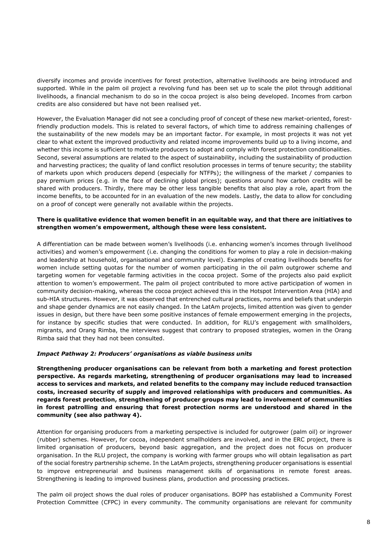diversify incomes and provide incentives for forest protection, alternative livelihoods are being introduced and supported. While in the palm oil project a revolving fund has been set up to scale the pilot through additional livelihoods, a financial mechanism to do so in the cocoa project is also being developed. Incomes from carbon credits are also considered but have not been realised yet.

However, the Evaluation Manager did not see a concluding proof of concept of these new market-oriented, forestfriendly production models. This is related to several factors, of which time to address remaining challenges of the sustainability of the new models may be an important factor. For example, in most projects it was not yet clear to what extent the improved productivity and related income improvements build up to a living income, and whether this income is sufficient to motivate producers to adopt and comply with forest protection conditionalities. Second, several assumptions are related to the aspect of sustainability, including the sustainability of production and harvesting practices; the quality of land conflict resolution processes in terms of tenure security; the stability of markets upon which producers depend (especially for NTFPs); the willingness of the market / companies to pay premium prices (e.g. in the face of declining global prices); questions around how carbon credits will be shared with producers. Thirdly, there may be other less tangible benefits that also play a role, apart from the income benefits, to be accounted for in an evaluation of the new models. Lastly, the data to allow for concluding on a proof of concept were generally not available within the projects.

#### **There is qualitative evidence that women benefit in an equitable way, and that there are initiatives to strengthen women's empowerment, although these were less consistent.**

A differentiation can be made between women's livelihoods (i.e. enhancing women's incomes through livelihood activities) and women's empowerment (i.e. changing the conditions for women to play a role in decision-making and leadership at household, organisational and community level). Examples of creating livelihoods benefits for women include setting quotas for the number of women participating in the oil palm outgrower scheme and targeting women for vegetable farming activities in the cocoa project. Some of the projects also paid explicit attention to women's empowerment. The palm oil project contributed to more active participation of women in community decision-making, whereas the cocoa project achieved this in the Hotspot Intervention Area (HIA) and sub-HIA structures. However, it was observed that entrenched cultural practices, norms and beliefs that underpin and shape gender dynamics are not easily changed. In the LatAm projects, limited attention was given to gender issues in design, but there have been some positive instances of female empowerment emerging in the projects, for instance by specific studies that were conducted. In addition, for RLU's engagement with smallholders, migrants, and Orang Rimba, the interviews suggest that contrary to proposed strategies, women in the Orang Rimba said that they had not been consulted.

#### *Impact Pathway 2: Producers' organisations as viable business units*

**Strengthening producer organisations can be relevant from both a marketing and forest protection perspective. As regards marketing, strengthening of producer organisations may lead to increased access to services and markets, and related benefits to the company may include reduced transaction costs, increased security of supply and improved relationships with producers and communities. As regards forest protection, strengthening of producer groups may lead to involvement of communities in forest patrolling and ensuring that forest protection norms are understood and shared in the community (see also pathway 4).** 

Attention for organising producers from a marketing perspective is included for outgrower (palm oil) or ingrower (rubber) schemes. However, for cocoa, independent smallholders are involved, and in the ERC project, there is limited organisation of producers, beyond basic aggregation, and the project does not focus on producer organisation. In the RLU project, the company is working with farmer groups who will obtain legalisation as part of the social forestry partnership scheme. In the LatAm projects, strengthening producer organisations is essential to improve entrepreneurial and business management skills of organisations in remote forest areas. Strengthening is leading to improved business plans, production and processing practices.

The palm oil project shows the dual roles of producer organisations. BOPP has established a Community Forest Protection Committee (CFPC) in every community. The community organisations are relevant for community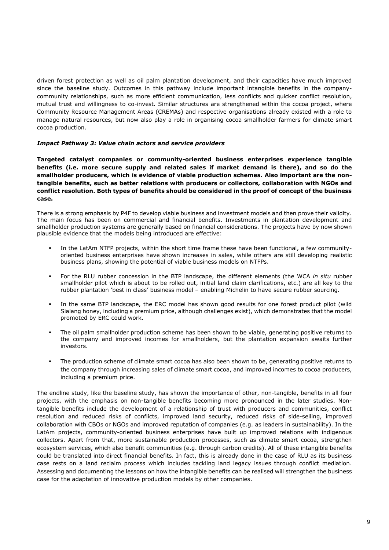driven forest protection as well as oil palm plantation development, and their capacities have much improved since the baseline study. Outcomes in this pathway include important intangible benefits in the companycommunity relationships, such as more efficient communication, less conflicts and quicker conflict resolution, mutual trust and willingness to co-invest. Similar structures are strengthened within the cocoa project, where Community Resource Management Areas (CREMAs) and respective organisations already existed with a role to manage natural resources, but now also play a role in organising cocoa smallholder farmers for climate smart cocoa production.

#### *Impact Pathway 3: Value chain actors and service providers*

**Targeted catalyst companies or community-oriented business enterprises experience tangible benefits (i.e. more secure supply and related sales if market demand is there), and so do the smallholder producers, which is evidence of viable production schemes. Also important are the nontangible benefits, such as better relations with producers or collectors, collaboration with NGOs and conflict resolution. Both types of benefits should be considered in the proof of concept of the business case.** 

There is a strong emphasis by P4F to develop viable business and investment models and then prove their validity. The main focus has been on commercial and financial benefits. Investments in plantation development and smallholder production systems are generally based on financial considerations. The projects have by now shown plausible evidence that the models being introduced are effective:

- In the LatAm NTFP projects, within the short time frame these have been functional, a few communityoriented business enterprises have shown increases in sales, while others are still developing realistic business plans, showing the potential of viable business models on NTFPs.
- For the RLU rubber concession in the BTP landscape, the different elements (the WCA *in situ* rubber smallholder pilot which is about to be rolled out, initial land claim clarifications, etc.) are all key to the rubber plantation 'best in class' business model – enabling Michelin to have secure rubber sourcing.
- In the same BTP landscape, the ERC model has shown good results for one forest product pilot (wild Sialang honey, including a premium price, although challenges exist), which demonstrates that the model promoted by ERC could work.
- The oil palm smallholder production scheme has been shown to be viable, generating positive returns to the company and improved incomes for smallholders, but the plantation expansion awaits further investors.
- The production scheme of climate smart cocoa has also been shown to be, generating positive returns to the company through increasing sales of climate smart cocoa, and improved incomes to cocoa producers, including a premium price.

The endline study, like the baseline study, has shown the importance of other, non-tangible, benefits in all four projects, with the emphasis on non-tangible benefits becoming more pronounced in the later studies. Nontangible benefits include the development of a relationship of trust with producers and communities, conflict resolution and reduced risks of conflicts, improved land security, reduced risks of side-selling, improved collaboration with CBOs or NGOs and improved reputation of companies (e.g. as leaders in sustainability). In the LatAm projects, community-oriented business enterprises have built up improved relations with indigenous collectors. Apart from that, more sustainable production processes, such as climate smart cocoa, strengthen ecosystem services, which also benefit communities (e.g. through carbon credits). All of these intangible benefits could be translated into direct financial benefits. In fact, this is already done in the case of RLU as its business case rests on a land reclaim process which includes tackling land legacy issues through conflict mediation. Assessing and documenting the lessons on how the intangible benefits can be realised will strengthen the business case for the adaptation of innovative production models by other companies.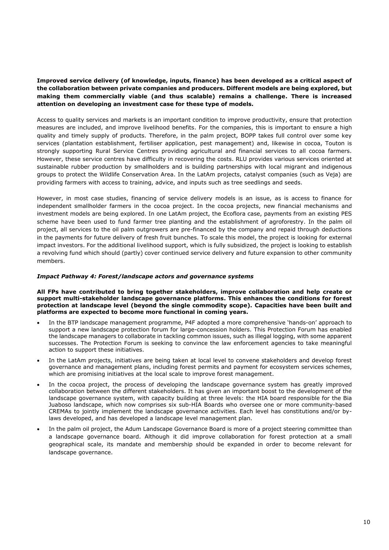#### **Improved service delivery (of knowledge, inputs, finance) has been developed as a critical aspect of the collaboration between private companies and producers. Different models are being explored, but making them commercially viable (and thus scalable) remains a challenge. There is increased attention on developing an investment case for these type of models.**

Access to quality services and markets is an important condition to improve productivity, ensure that protection measures are included, and improve livelihood benefits. For the companies, this is important to ensure a high quality and timely supply of products. Therefore, in the palm project, BOPP takes full control over some key services (plantation establishment, fertiliser application, pest management) and, likewise in cocoa, Touton is strongly supporting Rural Service Centres providing agricultural and financial services to all cocoa farmers. However, these service centres have difficulty in recovering the costs. RLU provides various services oriented at sustainable rubber production by smallholders and is building partnerships with local migrant and indigenous groups to protect the Wildlife Conservation Area. In the LatAm projects, catalyst companies (such as Veja) are providing farmers with access to training, advice, and inputs such as tree seedlings and seeds.

However, in most case studies, financing of service delivery models is an issue, as is access to finance for independent smallholder farmers in the cocoa project. In the cocoa projects, new financial mechanisms and investment models are being explored. In one LatAm project, the Ecoflora case, payments from an existing PES scheme have been used to fund farmer tree planting and the establishment of agroforestry. In the palm oil project, all services to the oil palm outgrowers are pre-financed by the company and repaid through deductions in the payments for future delivery of fresh fruit bunches. To scale this model, the project is looking for external impact investors. For the additional livelihood support, which is fully subsidized, the project is looking to establish a revolving fund which should (partly) cover continued service delivery and future expansion to other community members.

#### *Impact Pathway 4: Forest/landscape actors and governance systems*

#### **All FPs have contributed to bring together stakeholders, improve collaboration and help create or support multi-stakeholder landscape governance platforms. This enhances the conditions for forest protection at landscape level (beyond the single commodity scope). Capacities have been built and platforms are expected to become more functional in coming years.**

- In the BTP landscape management programme, P4F adopted a more comprehensive 'hands-on' approach to support a new landscape protection forum for large-concession holders. This Protection Forum has enabled the landscape managers to collaborate in tackling common issues, such as illegal logging, with some apparent successes. The Protection Forum is seeking to convince the law enforcement agencies to take meaningful action to support these initiatives.
- In the LatAm projects, initiatives are being taken at local level to convene stakeholders and develop forest governance and management plans, including forest permits and payment for ecosystem services schemes, which are promising initiatives at the local scale to improve forest management.
- In the cocoa project, the process of developing the landscape governance system has greatly improved collaboration between the different stakeholders. It has given an important boost to the development of the landscape governance system, with capacity building at three levels: the HIA board responsible for the Bia Juaboso landscape, which now comprises six sub-HIA Boards who oversee one or more community-based CREMAs to jointly implement the landscape governance activities. Each level has constitutions and/or bylaws developed, and has developed a landscape level management plan.
- In the palm oil project, the Adum Landscape Governance Board is more of a project steering committee than a landscape governance board. Although it did improve collaboration for forest protection at a small geographical scale, its mandate and membership should be expanded in order to become relevant for landscape governance.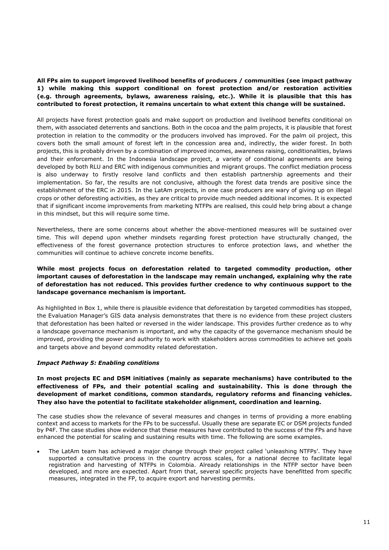#### **All FPs aim to support improved livelihood benefits of producers / communities (see impact pathway 1) while making this support conditional on forest protection and/or restoration activities (e.g. through agreements, bylaws, awareness raising, etc.). While it is plausible that this has contributed to forest protection, it remains uncertain to what extent this change will be sustained.**

All projects have forest protection goals and make support on production and livelihood benefits conditional on them, with associated deterrents and sanctions. Both in the cocoa and the palm projects, it is plausible that forest protection in relation to the commodity or the producers involved has improved. For the palm oil project, this covers both the small amount of forest left in the concession area and, indirectly, the wider forest. In both projects, this is probably driven by a combination of improved incomes, awareness raising, conditionalities, bylaws and their enforcement. In the Indonesia landscape project, a variety of conditional agreements are being developed by both RLU and ERC with indigenous communities and migrant groups. The conflict mediation process is also underway to firstly resolve land conflicts and then establish partnership agreements and their implementation. So far, the results are not conclusive, although the forest data trends are positive since the establishment of the ERC in 2015. In the LatAm projects, in one case producers are wary of giving up on illegal crops or other deforesting activities, as they are critical to provide much needed additional incomes. It is expected that if significant income improvements from marketing NTFPs are realised, this could help bring about a change in this mindset, but this will require some time.

Nevertheless, there are some concerns about whether the above-mentioned measures will be sustained over time. This will depend upon whether mindsets regarding forest protection have structurally changed, the effectiveness of the forest governance protection structures to enforce protection laws, and whether the communities will continue to achieve concrete income benefits.

#### **While most projects focus on deforestation related to targeted commodity production, other important causes of deforestation in the landscape may remain unchanged, explaining why the rate of deforestation has not reduced. This provides further credence to why continuous support to the landscape governance mechanism is important.**

As highlighted in Box 1, while there is plausible evidence that deforestation by targeted commodities has stopped, the Evaluation Manager's GIS data analysis demonstrates that there is no evidence from these project clusters that deforestation has been halted or reversed in the wider landscape. This provides further credence as to why a landscape governance mechanism is important, and why the capacity of the governance mechanism should be improved, providing the power and authority to work with stakeholders across commodities to achieve set goals and targets above and beyond commodity related deforestation.

#### *Impact Pathway 5: Enabling conditions*

**In most projects EC and DSM initiatives (mainly as separate mechanisms) have contributed to the effectiveness of FPs, and their potential scaling and sustainability. This is done through the development of market conditions, common standards, regulatory reforms and financing vehicles. They also have the potential to facilitate stakeholder alignment, coordination and learning.** 

The case studies show the relevance of several measures and changes in terms of providing a more enabling context and access to markets for the FPs to be successful. Usually these are separate EC or DSM projects funded by P4F. The case studies show evidence that these measures have contributed to the success of the FPs and have enhanced the potential for scaling and sustaining results with time. The following are some examples.

The LatAm team has achieved a major change through their project called 'unleashing NTFPs'. They have supported a consultative process in the country across scales, for a national decree to facilitate legal registration and harvesting of NTFPs in Colombia. Already relationships in the NTFP sector have been developed, and more are expected. Apart from that, several specific projects have benefitted from specific measures, integrated in the FP, to acquire export and harvesting permits.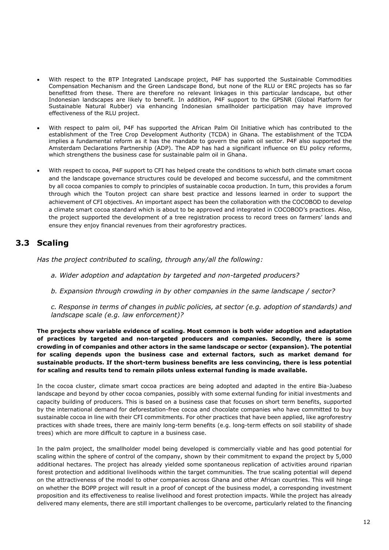- With respect to the BTP Integrated Landscape project, P4F has supported the Sustainable Commodities Compensation Mechanism and the Green Landscape Bond, but none of the RLU or ERC projects has so far benefitted from these. There are therefore no relevant linkages in this particular landscape, but other Indonesian landscapes are likely to benefit. In addition, P4F support to the GPSNR (Global Platform for Sustainable Natural Rubber) via enhancing Indonesian smallholder participation may have improved effectiveness of the RLU project.
- With respect to palm oil, P4F has supported the African Palm Oil Initiative which has contributed to the establishment of the Tree Crop Development Authority (TCDA) in Ghana. The establishment of the TCDA implies a fundamental reform as it has the mandate to govern the palm oil sector. P4F also supported the Amsterdam Declarations Partnership (ADP). The ADP has had a significant influence on EU policy reforms, which strengthens the business case for sustainable palm oil in Ghana.
- With respect to cocoa, P4F support to CFI has helped create the conditions to which both climate smart cocoa and the landscape governance structures could be developed and become successful, and the commitment by all cocoa companies to comply to principles of sustainable cocoa production. In turn, this provides a forum through which the Touton project can share best practice and lessons learned in order to support the achievement of CFI objectives. An important aspect has been the collaboration with the COCOBOD to develop a climate smart cocoa standard which is about to be approved and integrated in COCOBOD's practices. Also, the project supported the development of a tree registration process to record trees on farmers' lands and ensure they enjoy financial revenues from their agroforestry practices.

## <span id="page-13-0"></span>**3.3 Scaling**

*Has the project contributed to scaling, through any/all the following:*

- *a. Wider adoption and adaptation by targeted and non-targeted producers?*
- *b. Expansion through crowding in by other companies in the same landscape / sector?*

*c. Response in terms of changes in public policies, at sector (e.g. adoption of standards) and landscape scale (e.g. law enforcement)?* 

**The projects show variable evidence of scaling. Most common is both wider adoption and adaptation of practices by targeted and non-targeted producers and companies. Secondly, there is some crowding in of companies and other actors in the same landscape or sector (expansion). The potential for scaling depends upon the business case and external factors, such as market demand for sustainable products. If the short-term business benefits are less convincing, there is less potential for scaling and results tend to remain pilots unless external funding is made available.** 

In the cocoa cluster, climate smart cocoa practices are being adopted and adapted in the entire Bia-Juabeso landscape and beyond by other cocoa companies, possibly with some external funding for initial investments and capacity building of producers. This is based on a business case that focuses on short term benefits, supported by the international demand for deforestation-free cocoa and chocolate companies who have committed to buy sustainable cocoa in line with their CFI commitments. For other practices that have been applied, like agroforestry practices with shade trees, there are mainly long-term benefits (e.g. long-term effects on soil stability of shade trees) which are more difficult to capture in a business case.

In the palm project, the smallholder model being developed is commercially viable and has good potential for scaling within the sphere of control of the company, shown by their commitment to expand the project by 5,000 additional hectares. The project has already yielded some spontaneous replication of activities around riparian forest protection and additional livelihoods within the target communities. The true scaling potential will depend on the attractiveness of the model to other companies across Ghana and other African countries. This will hinge on whether the BOPP project will result in a proof of concept of the business model, a corresponding investment proposition and its effectiveness to realise livelihood and forest protection impacts. While the project has already delivered many elements, there are still important challenges to be overcome, particularly related to the financing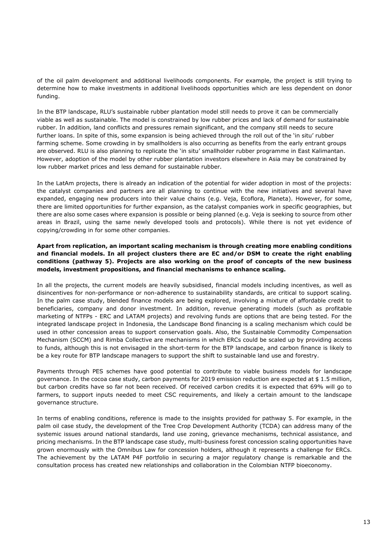of the oil palm development and additional livelihoods components. For example, the project is still trying to determine how to make investments in additional livelihoods opportunities which are less dependent on donor funding.

In the BTP landscape, RLU's sustainable rubber plantation model still needs to prove it can be commercially viable as well as sustainable. The model is constrained by low rubber prices and lack of demand for sustainable rubber. In addition, land conflicts and pressures remain significant, and the company still needs to secure further loans. In spite of this, some expansion is being achieved through the roll out of the 'in situ' rubber farming scheme. Some crowding in by smallholders is also occurring as benefits from the early entrant groups are observed. RLU is also planning to replicate the 'in situ' smallholder rubber programme in East Kalimantan. However, adoption of the model by other rubber plantation investors elsewhere in Asia may be constrained by low rubber market prices and less demand for sustainable rubber.

In the LatAm projects, there is already an indication of the potential for wider adoption in most of the projects: the catalyst companies and partners are all planning to continue with the new initiatives and several have expanded, engaging new producers into their value chains (e.g. Veja, Ecoflora, Planeta). However, for some, there are limited opportunities for further expansion, as the catalyst companies work in specific geographies, but there are also some cases where expansion is possible or being planned (e.g. Veja is seeking to source from other areas in Brazil, using the same newly developed tools and protocols). While there is not yet evidence of copying/crowding in for some other companies.

#### **Apart from replication, an important scaling mechanism is through creating more enabling conditions and financial models. In all project clusters there are EC and/or DSM to create the right enabling conditions (pathway 5). Projects are also working on the proof of concepts of the new business models, investment propositions, and financial mechanisms to enhance scaling.**

In all the projects, the current models are heavily subsidised, financial models including incentives, as well as disincentives for non-performance or non-adherence to sustainability standards, are critical to support scaling. In the palm case study, blended finance models are being explored, involving a mixture of affordable credit to beneficiaries, company and donor investment. In addition, revenue generating models (such as profitable marketing of NTFPs - ERC and LATAM projects) and revolving funds are options that are being tested. For the integrated landscape project in Indonesia, the Landscape Bond financing is a scaling mechanism which could be used in other concession areas to support conservation goals. Also, the Sustainable Commodity Compensation Mechanism (SCCM) and Rimba Collective are mechanisms in which ERCs could be scaled up by providing access to funds, although this is not envisaged in the short-term for the BTP landscape, and carbon finance is likely to be a key route for BTP landscape managers to support the shift to sustainable land use and forestry.

Payments through PES schemes have good potential to contribute to viable business models for landscape governance. In the cocoa case study, carbon payments for 2019 emission reduction are expected at \$ 1.5 million, but carbon credits have so far not been received. Of received carbon credits it is expected that 69% will go to farmers, to support inputs needed to meet CSC requirements, and likely a certain amount to the landscape governance structure.

In terms of enabling conditions, reference is made to the insights provided for pathway 5. For example, in the palm oil case study, the development of the Tree Crop Development Authority (TCDA) can address many of the systemic issues around national standards, land use zoning, grievance mechanisms, technical assistance, and pricing mechanisms. In the BTP landscape case study, multi-business forest concession scaling opportunities have grown enormously with the Omnibus Law for concession holders, although it represents a challenge for ERCs. The achievement by the LATAM P4F portfolio in securing a major regulatory change is remarkable and the consultation process has created new relationships and collaboration in the Colombian NTFP bioeconomy.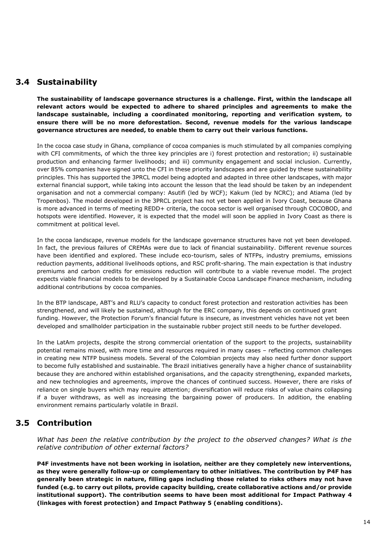## <span id="page-15-0"></span>**3.4 Sustainability**

**The sustainability of landscape governance structures is a challenge. First, within the landscape all relevant actors would be expected to adhere to shared principles and agreements to make the landscape sustainable, including a coordinated monitoring, reporting and verification system, to ensure there will be no more deforestation. Second, revenue models for the various landscape governance structures are needed, to enable them to carry out their various functions.** 

In the cocoa case study in Ghana, compliance of cocoa companies is much stimulated by all companies complying with CFI commitments, of which the three key principles are i) forest protection and restoration; ii) sustainable production and enhancing farmer livelihoods; and iii) community engagement and social inclusion. Currently, over 85% companies have signed unto the CFI in these priority landscapes and are guided by these sustainability principles. This has supported the 3PRCL model being adopted and adapted in three other landscapes, with major external financial support, while taking into account the lesson that the lead should be taken by an independent organisation and not a commercial company: Asutifi (led by WCF); Kakum (led by NCRC); and Atiama (led by Tropenbos). The model developed in the 3PRCL project has not yet been applied in Ivory Coast, because Ghana is more advanced in terms of meeting REDD+ criteria, the cocoa sector is well organised through COCOBOD, and hotspots were identified. However, it is expected that the model will soon be applied in Ivory Coast as there is commitment at political level.

In the cocoa landscape, revenue models for the landscape governance structures have not yet been developed. In fact, the previous failures of CREMAs were due to lack of financial sustainability. Different revenue sources have been identified and explored. These include eco-tourism, sales of NTFPs, industry premiums, emissions reduction payments, additional livelihoods options, and RSC profit-sharing. The main expectation is that industry premiums and carbon credits for emissions reduction will contribute to a viable revenue model. The project expects viable financial models to be developed by a Sustainable Cocoa Landscape Finance mechanism, including additional contributions by cocoa companies.

In the BTP landscape, ABT's and RLU's capacity to conduct forest protection and restoration activities has been strengthened, and will likely be sustained, although for the ERC company, this depends on continued grant funding. However, the Protection Forum's financial future is insecure, as investment vehicles have not yet been developed and smallholder participation in the sustainable rubber project still needs to be further developed.

In the LatAm projects, despite the strong commercial orientation of the support to the projects, sustainability potential remains mixed, with more time and resources required in many cases – reflecting common challenges in creating new NTFP business models. Several of the Colombian projects may also need further donor support to become fully established and sustainable. The Brazil initiatives generally have a higher chance of sustainability because they are anchored within established organisations, and the capacity strengthening, expanded markets, and new technologies and agreements, improve the chances of continued success. However, there are risks of reliance on single buyers which may require attention; diversification will reduce risks of value chains collapsing if a buyer withdraws, as well as increasing the bargaining power of producers. In addition, the enabling environment remains particularly volatile in Brazil.

## **3.5 Contribution**

<span id="page-15-1"></span>*What has been the relative contribution by the project to the observed changes? What is the relative contribution of other external factors?* 

**P4F investments have not been working in isolation, neither are they completely new interventions, as they were generally follow-up or complementary to other initiatives. The contribution by P4F has generally been strategic in nature, filling gaps including those related to risks others may not have funded (e.g. to carry out pilots, provide capacity building, create collaborative actions and/or provide institutional support). The contribution seems to have been most additional for Impact Pathway 4 (linkages with forest protection) and Impact Pathway 5 (enabling conditions).**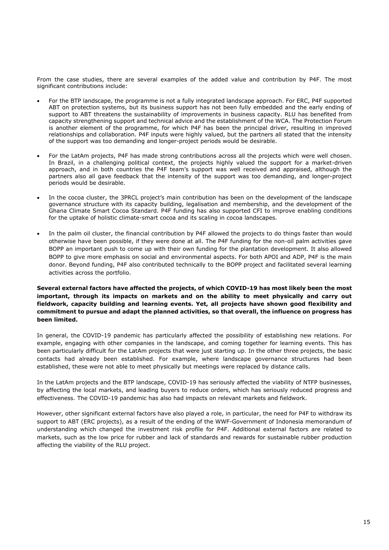From the case studies, there are several examples of the added value and contribution by P4F. The most significant contributions include:

- For the BTP landscape, the programme is not a fully integrated landscape approach. For ERC, P4F supported ABT on protection systems, but its business support has not been fully embedded and the early ending of support to ABT threatens the sustainability of improvements in business capacity. RLU has benefited from capacity strengthening support and technical advice and the establishment of the WCA. The Protection Forum is another element of the programme, for which P4F has been the principal driver, resulting in improved relationships and collaboration. P4F inputs were highly valued, but the partners all stated that the intensity of the support was too demanding and longer-project periods would be desirable.
- For the LatAm projects, P4F has made strong contributions across all the projects which were well chosen. In Brazil, in a challenging political context, the projects highly valued the support for a market-driven approach, and in both countries the P4F team's support was well received and appraised, although the partners also all gave feedback that the intensity of the support was too demanding, and longer-project periods would be desirable.
- In the cocoa cluster, the 3PRCL project's main contribution has been on the development of the landscape governance structure with its capacity building, legalisation and membership, and the development of the Ghana Climate Smart Cocoa Standard. P4F funding has also supported CFI to improve enabling conditions for the uptake of holistic climate-smart cocoa and its scaling in cocoa landscapes.
- In the palm oil cluster, the financial contribution by P4F allowed the projects to do things faster than would otherwise have been possible, if they were done at all. The P4F funding for the non-oil palm activities gave BOPP an important push to come up with their own funding for the plantation development. It also allowed BOPP to give more emphasis on social and environmental aspects. For both APOI and ADP, P4F is the main donor. Beyond funding, P4F also contributed technically to the BOPP project and facilitated several learning activities across the portfolio.

#### **Several external factors have affected the projects, of which COVID-19 has most likely been the most important, through its impacts on markets and on the ability to meet physically and carry out fieldwork, capacity building and learning events. Yet, all projects have shown good flexibility and commitment to pursue and adapt the planned activities, so that overall, the influence on progress has been limited.**

In general, the COVID-19 pandemic has particularly affected the possibility of establishing new relations. For example, engaging with other companies in the landscape, and coming together for learning events. This has been particularly difficult for the LatAm projects that were just starting up. In the other three projects, the basic contacts had already been established. For example, where landscape governance structures had been established, these were not able to meet physically but meetings were replaced by distance calls.

In the LatAm projects and the BTP landscape, COVID-19 has seriously affected the viability of NTFP businesses, by affecting the local markets, and leading buyers to reduce orders, which has seriously reduced progress and effectiveness. The COVID-19 pandemic has also had impacts on relevant markets and fieldwork.

However, other significant external factors have also played a role, in particular, the need for P4F to withdraw its support to ABT (ERC projects), as a result of the ending of the WWF-Government of Indonesia memorandum of understanding which changed the investment risk profile for P4F. Additional external factors are related to markets, such as the low price for rubber and lack of standards and rewards for sustainable rubber production affecting the viability of the RLU project.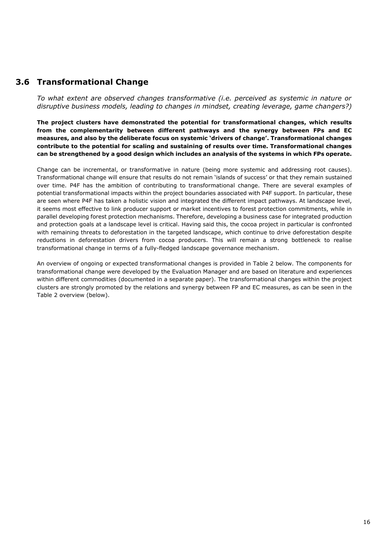## **3.6 Transformational Change**

<span id="page-17-0"></span>*To what extent are observed changes transformative (i.e. perceived as systemic in nature or disruptive business models, leading to changes in mindset, creating leverage, game changers?)* 

**The project clusters have demonstrated the potential for transformational changes, which results from the complementarity between different pathways and the synergy between FPs and EC measures, and also by the deliberate focus on systemic 'drivers of change'. Transformational changes contribute to the potential for scaling and sustaining of results over time. Transformational changes can be strengthened by a good design which includes an analysis of the systems in which FPs operate.** 

Change can be incremental, or transformative in nature (being more systemic and addressing root causes). Transformational change will ensure that results do not remain 'islands of success' or that they remain sustained over time. P4F has the ambition of contributing to transformational change. There are several examples of potential transformational impacts within the project boundaries associated with P4F support. In particular, these are seen where P4F has taken a holistic vision and integrated the different impact pathways. At landscape level, it seems most effective to link producer support or market incentives to forest protection commitments, while in parallel developing forest protection mechanisms. Therefore, developing a business case for integrated production and protection goals at a landscape level is critical. Having said this, the cocoa project in particular is confronted with remaining threats to deforestation in the targeted landscape, which continue to drive deforestation despite reductions in deforestation drivers from cocoa producers. This will remain a strong bottleneck to realise transformational change in terms of a fully-fledged landscape governance mechanism.

An overview of ongoing or expected transformational changes is provided in Table 2 below. The components for transformational change were developed by the Evaluation Manager and are based on literature and experiences within different commodities (documented in a separate paper). The transformational changes within the project clusters are strongly promoted by the relations and synergy between FP and EC measures, as can be seen in the Table 2 overview (below).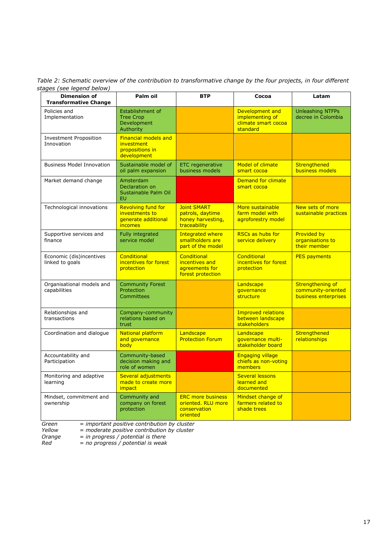*Table 2: Schematic overview of the contribution to transformative change by the four projects, in four different stages (see legend below)* 

| <b>Dimension of</b><br><b>Transformative Change</b> | Palm oil                                                                             | <b>BTP</b>                                                                  | Cocoa                                                                 | Latam                                                          |
|-----------------------------------------------------|--------------------------------------------------------------------------------------|-----------------------------------------------------------------------------|-----------------------------------------------------------------------|----------------------------------------------------------------|
| Policies and<br>Implementation                      | Establishment of<br><b>Tree Crop</b><br>Development<br>Authority                     |                                                                             | Development and<br>implementing of<br>climate smart cocoa<br>standard | <b>Unleashing NTFPs</b><br>decree in Colombia                  |
| <b>Investment Proposition</b><br>Innovation         | <b>Financial models and</b><br>investment<br>propositions in<br>development          |                                                                             |                                                                       |                                                                |
| <b>Business Model Innovation</b>                    | Sustainable model of<br>oil palm expansion                                           | <b>ETC</b> regenerative<br>business models                                  | <b>Model of climate</b><br>smart cocoa                                | Strengthened<br>business models                                |
| Market demand change                                | Amsterdam<br>Declaration on<br>Sustainable Palm Oil<br><b>EU</b>                     |                                                                             | Demand for climate<br>smart cocoa                                     |                                                                |
| Technological innovations                           | <b>Revolving fund for</b><br>investments to<br>generate additional<br><i>incomes</i> | <b>Joint SMART</b><br>patrols, daytime<br>honey harvesting,<br>traceability | More sustainable<br>farm model with<br>agroforestry model             | New sets of more<br>sustainable practices                      |
| Supportive services and<br>finance                  | Fully integrated<br>service model                                                    | <b>Integrated where</b><br>smallholders are<br>part of the model            | <b>RSCs as hubs for</b><br>service delivery                           | <b>Provided by</b><br>organisations to<br>their member         |
| Economic (dis)incentives<br>linked to goals         | <b>Conditional</b><br>incentives for forest<br>protection                            | <b>Conditional</b><br>incentives and<br>agreements for<br>forest protection | <b>Conditional</b><br>incentives for forest<br>protection             | <b>PES payments</b>                                            |
| Organisational models and<br>capabilities           | <b>Community Forest</b><br>Protection<br><b>Committees</b>                           |                                                                             | Landscape<br>governance<br>structure                                  | Strengthening of<br>community-oriented<br>business enterprises |
| Relationships and<br>transactions                   | Company-community<br>relations based on<br>trust                                     |                                                                             | <b>Improved relations</b><br>between landscape<br>stakeholders        |                                                                |
| Coordination and dialogue                           | <b>National platform</b><br>and governance<br>body                                   | Landscape<br><b>Protection Forum</b>                                        | Landscape<br>governance multi-<br>stakeholder board                   | Strengthened<br>relationships                                  |
| Accountability and<br>Participation                 | Community-based<br>decision making and<br>role of women                              |                                                                             | <b>Engaging village</b><br>chiefs as non-voting<br>members            |                                                                |
| Monitoring and adaptive<br>learning                 | <b>Several adjustments</b><br>made to create more<br><i>impact</i>                   |                                                                             | <b>Several lessons</b><br>learned and<br>documented                   |                                                                |
| Mindset, commitment and<br>ownership                | Community and<br>company on forest<br>protection                                     | <b>ERC</b> more business<br>oriented. RLU more<br>conservation<br>oriented  | Mindset change of<br>farmers related to<br>shade trees                |                                                                |

*Green = important positive contribution by cluster* 

*Yellow = moderate positive contribution by cluster* 

*Orange = in progress / potential is there* 

*Red = no progress / potential is weak*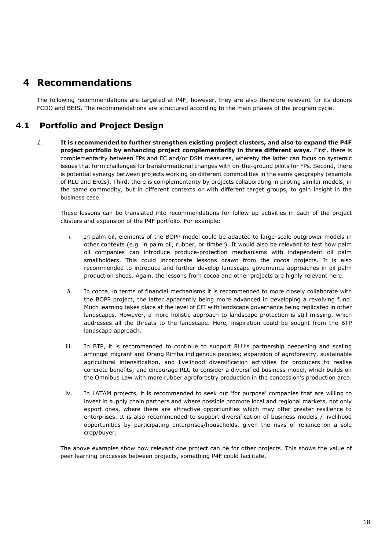## <span id="page-19-0"></span>**4 Recommendations**

The following recommendations are targeted at P4F, however, they are also therefore relevant for its donors FCDO and BEIS. The recommendations are structured according to the main phases of the program cycle.

## **4.1 Portfolio and Project Design**

*1.* **It is recommended to further strengthen existing project clusters, and also to expand the P4F project portfolio by enhancing project complementarity in three different ways.** First, there is complementarity between FPs and EC and/or DSM measures, whereby the latter can focus on systemic issues that form challenges for transformational changes with on-the-ground pilots for FPs. Second, there is potential synergy between projects working on different commodities in the same geography (example of RLU and ERCs). Third, there is complementarity by projects collaborating in piloting similar models, in the same commodity, but in different contexts or with different target groups, to gain insight in the business case.

These lessons can be translated into recommendations for follow up activities in each of the project clusters and expansion of the P4F portfolio. For example:

- *i.* In palm oil, elements of the BOPP model could be adapted to large-scale outgrower models in other contexts (e.g. in palm oil, rubber, or timber). It would also be relevant to test how palm oil companies can introduce produce-protection mechanisms with independent oil palm smallholders. This could incorporate lessons drawn from the cocoa projects. It is also recommended to introduce and further develop landscape governance approaches in oil palm production sheds. Again, the lessons from cocoa and other projects are highly relevant here.
- *ii.* In cocoa, in terms of financial mechanisms it is recommended to more closely collaborate with the BOPP project, the latter apparently being more advanced in developing a revolving fund. Much learning takes place at the level of CFI with landscape governance being replicated in other landscapes. However, a more holistic approach to landscape protection is still missing, which addresses all the threats to the landscape. Here, inspiration could be sought from the BTP landscape approach.
- iii. In BTP, it is recommended to continue to support RLU's partnership deepening and scaling amongst migrant and Orang Rimba indigenous peoples; expansion of agroforestry, sustainable agricultural intensification, and livelihood diversification activities for producers to realise concrete benefits; and encourage RLU to consider a diversified business model, which builds on the Omnibus Law with more rubber agroforestry production in the concession's production area.
- iv. In LATAM projects, it is recommended to seek out 'for purpose' companies that are willing to invest in supply chain partners and where possible promote local and regional markets, not only export ones, where there are attractive opportunities which may offer greater resilience to enterprises. It is also recommended to support diversification of business models / livelihood opportunities by participating enterprises/households, given the risks of reliance on a sole crop/buyer.

The above examples show how relevant one project can be for other projects. This shows the value of peer learning processes between projects, something P4F could facilitate.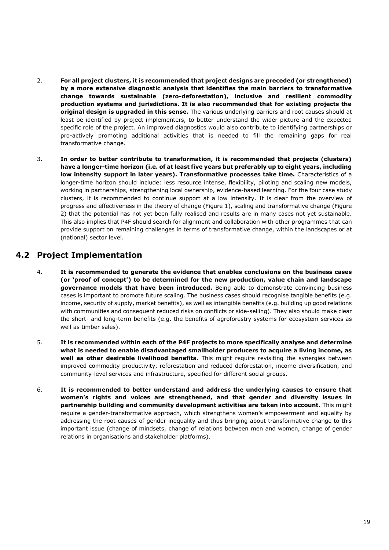- 2. **For all project clusters, it is recommended that project designs are preceded (or strengthened) by a more extensive diagnostic analysis that identifies the main barriers to transformative change towards sustainable (zero-deforestation), inclusive and resilient commodity production systems and jurisdictions. It is also recommended that for existing projects the original design is upgraded in this sense.** The various underlying barriers and root causes should at least be identified by project implementers, to better understand the wider picture and the expected specific role of the project. An improved diagnostics would also contribute to identifying partnerships or pro-actively promoting additional activities that is needed to fill the remaining gaps for real transformative change.
- 3. **In order to better contribute to transformation, it is recommended that projects (clusters) have a longer-time horizon (i.e. of at least five years but preferably up to eight years, including low intensity support in later years). Transformative processes take time.** Characteristics of a longer-time horizon should include: less resource intense, flexibility, piloting and scaling new models, working in partnerships, strengthening local ownership, evidence-based learning. For the four case study clusters, it is recommended to continue support at a low intensity. It is clear from the overview of progress and effectiveness in the theory of change (Figure 1), scaling and transformative change (Figure 2) that the potential has not yet been fully realised and results are in many cases not yet sustainable. This also implies that P4F should search for alignment and collaboration with other programmes that can provide support on remaining challenges in terms of transformative change, within the landscapes or at (national) sector level.

## **4.2 Project Implementation**

- 4. **It is recommended to generate the evidence that enables conclusions on the business cases (or 'proof of concept') to be determined for the new production, value chain and landscape governance models that have been introduced.** Being able to demonstrate convincing business cases is important to promote future scaling. The business cases should recognise tangible benefits (e.g. income, security of supply, market benefits), as well as intangible benefits (e.g. building up good relations with communities and consequent reduced risks on conflicts or side-selling). They also should make clear the short- and long-term benefits (e.g. the benefits of agroforestry systems for ecosystem services as well as timber sales).
- 5. **It is recommended within each of the P4F projects to more specifically analyse and determine what is needed to enable disadvantaged smallholder producers to acquire a living income, as well as other desirable livelihood benefits.** This might require revisiting the synergies between improved commodity productivity, reforestation and reduced deforestation, income diversification, and community-level services and infrastructure, specified for different social groups.
- 6. **It is recommended to better understand and address the underlying causes to ensure that women's rights and voices are strengthened, and that gender and diversity issues in partnership building and community development activities are taken into account.** This might require a gender-transformative approach, which strengthens women's empowerment and equality by addressing the root causes of gender inequality and thus bringing about transformative change to this important issue (change of mindsets, change of relations between men and women, change of gender relations in organisations and stakeholder platforms).